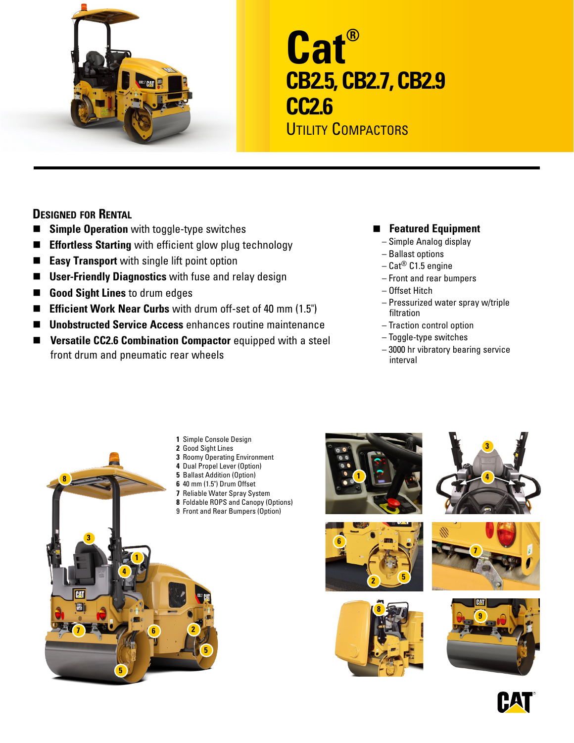

# **Cat® CB2.5, CB2.7, CB2.9 CC2.6**

UTILITY COMPACTORS

## **Designed for Rental**

- **Simple Operation** with toggle-type switches
- **Effortless Starting** with efficient glow plug technology
- **Easy Transport** with single lift point option
- User-Friendly Diagnostics with fuse and relay design
- **Good Sight Lines** to drum edges
- **Efficient Work Near Curbs** with drum off-set of 40 mm (1.5")
- Unobstructed Service Access enhances routine maintenance
- **n Versatile CC2.6 Combination Compactor** equipped with a steel front drum and pneumatic rear wheels

## **E** Featured Equipment

- Simple Analog display
- Ballast options
- Cat® C1.5 engine
- Front and rear bumpers
- Offset Hitch
- Pressurized water spray w/triple filtration
- Traction control option
- Toggle-type switches
- 3000 hr vibratory bearing service interval



- **1** Simple Console Design
- **2** Good Sight Lines
- **3** Roomy Operating Environment
- **4** Dual Propel Lever (Option)
- **5** Ballast Addition (Option)
- **6** 40 mm (1.5") Drum Offset
- **7** Reliable Water Spray System
- **8** Foldable ROPS and Canopy (Options)
- 9 Front and Rear Bumpers (Option)